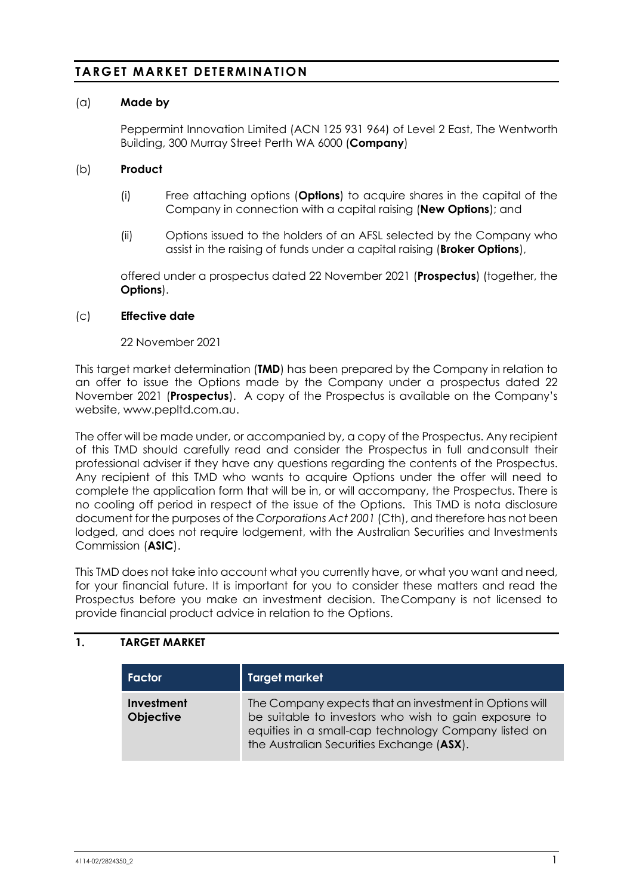# **TARGET MARKET DETERMINATION**

### (a) **Made by**

Peppermint Innovation Limited (ACN 125 931 964) of Level 2 East, The Wentworth Building, 300 Murray Street Perth WA 6000 (**Company**)

### (b) **Product**

- (i) Free attaching options (**Options**) to acquire shares in the capital of the Company in connection with a capital raising (**New Options**); and
- (ii) Options issued to the holders of an AFSL selected by the Company who assist in the raising of funds under a capital raising (**Broker Options**),

offered under a prospectus dated 22 November 2021 (**Prospectus**) (together, the **Options**).

#### (c) **Effective date**

22 November 2021

This target market determination (**TMD**) has been prepared by the Company in relation to an offer to issue the Options made by the Company under a prospectus dated 22 November 2021 (**Prospectus**). A copy of the Prospectus is available on the Company's website, www.pepltd.com.au.

The offer will be made under, or accompanied by, a copy of the Prospectus. Any recipient of this TMD should carefully read and consider the Prospectus in full andconsult their professional adviser if they have any questions regarding the contents of the Prospectus. Any recipient of this TMD who wants to acquire Options under the offer will need to complete the application form that will be in, or will accompany, the Prospectus. There is no cooling off period in respect of the issue of the Options. This TMD is nota disclosure document for the purposes of the *Corporations Act 2001* (Cth), and therefore has not been lodged, and does not require lodgement, with the Australian Securities and Investments Commission (**ASIC**).

This TMD does not take into account what you currently have, or what you want and need, for your financial future. It is important for you to consider these matters and read the Prospectus before you make an investment decision. TheCompany is not licensed to provide financial product advice in relation to the Options.

## **1. TARGET MARKET**

| Factor                         | <b>Target market</b>                                                                                                                                                                                                 |
|--------------------------------|----------------------------------------------------------------------------------------------------------------------------------------------------------------------------------------------------------------------|
| Investment<br><b>Objective</b> | The Company expects that an investment in Options will<br>be suitable to investors who wish to gain exposure to<br>equities in a small-cap technology Company listed on<br>the Australian Securities Exchange (ASX). |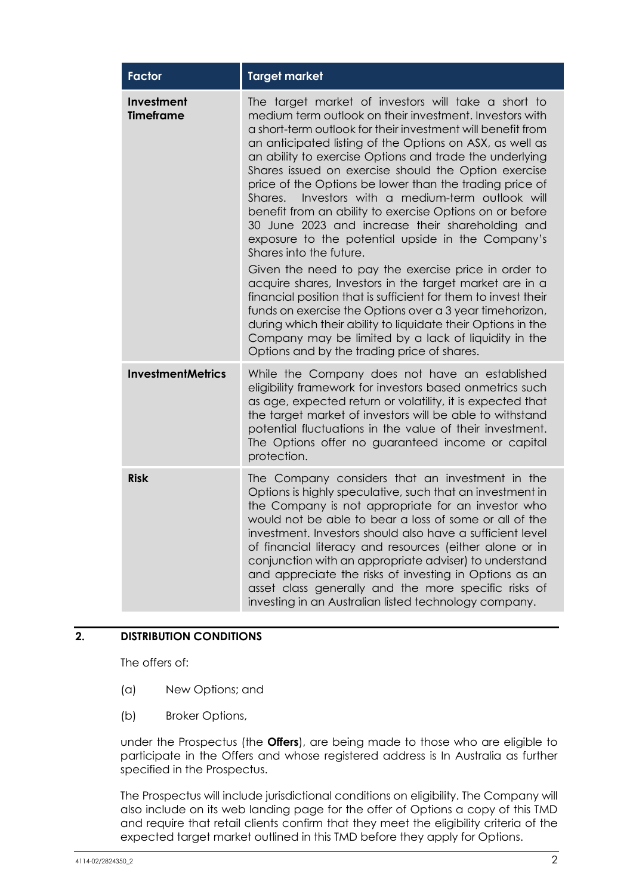| <b>Factor</b>                  | <b>Target market</b>                                                                                                                                                                                                                                                                                                                                                                                                                                                                                                                                                                                                                                                                                                                                                                                                                                                                                                                                                                                                                                                                                    |  |  |  |
|--------------------------------|---------------------------------------------------------------------------------------------------------------------------------------------------------------------------------------------------------------------------------------------------------------------------------------------------------------------------------------------------------------------------------------------------------------------------------------------------------------------------------------------------------------------------------------------------------------------------------------------------------------------------------------------------------------------------------------------------------------------------------------------------------------------------------------------------------------------------------------------------------------------------------------------------------------------------------------------------------------------------------------------------------------------------------------------------------------------------------------------------------|--|--|--|
| Investment<br><b>Timeframe</b> | The target market of investors will take a short to<br>medium term outlook on their investment. Investors with<br>a short-term outlook for their investment will benefit from<br>an anticipated listing of the Options on ASX, as well as<br>an ability to exercise Options and trade the underlying<br>Shares issued on exercise should the Option exercise<br>price of the Options be lower than the trading price of<br>Investors with a medium-term outlook will<br>Shares.<br>benefit from an ability to exercise Options on or before<br>30 June 2023 and increase their shareholding and<br>exposure to the potential upside in the Company's<br>Shares into the future.<br>Given the need to pay the exercise price in order to<br>acquire shares, Investors in the target market are in a<br>financial position that is sufficient for them to invest their<br>funds on exercise the Options over a 3 year timehorizon,<br>during which their ability to liquidate their Options in the<br>Company may be limited by a lack of liquidity in the<br>Options and by the trading price of shares. |  |  |  |
| <b>InvestmentMetrics</b>       | While the Company does not have an established<br>eligibility framework for investors based onmetrics such<br>as age, expected return or volatility, it is expected that<br>the target market of investors will be able to withstand<br>potential fluctuations in the value of their investment.<br>The Options offer no guaranteed income or capital<br>protection.                                                                                                                                                                                                                                                                                                                                                                                                                                                                                                                                                                                                                                                                                                                                    |  |  |  |
| <b>Risk</b>                    | The Company considers that an investment in the<br>Options is highly speculative, such that an investment in<br>the Company is not appropriate for an investor who<br>would not be able to bear a loss of some or all of the<br>investment. Investors should also have a sufficient level<br>of financial literacy and resources (either alone or in<br>conjunction with an appropriate adviser) to understand<br>and appreciate the risks of investing in Options as an<br>asset class generally and the more specific risks of<br>investing in an Australian listed technology company.                                                                                                                                                                                                                                                                                                                                                                                                                                                                                                               |  |  |  |

# **2. DISTRIBUTION CONDITIONS**

The offers of:

- (a) New Options; and
- (b) Broker Options,

under the Prospectus (the **Offers**), are being made to those who are eligible to participate in the Offers and whose registered address is In Australia as further specified in the Prospectus.

The Prospectus will include jurisdictional conditions on eligibility. The Company will also include on its web landing page for the offer of Options a copy of this TMD and require that retail clients confirm that they meet the eligibility criteria of the expected target market outlined in this TMD before they apply for Options.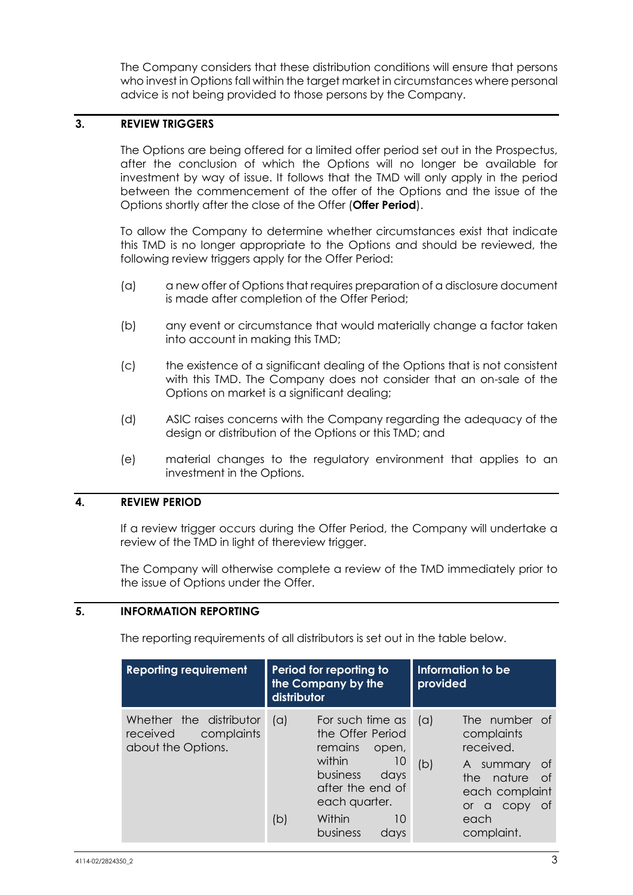The Company considers that these distribution conditions will ensure that persons who invest in Options fall within the target market in circumstances where personal advice is not being provided to those persons by the Company.

## **3. REVIEW TRIGGERS**

The Options are being offered for a limited offer period set out in the Prospectus, after the conclusion of which the Options will no longer be available for investment by way of issue. It follows that the TMD will only apply in the period between the commencement of the offer of the Options and the issue of the Options shortly after the close of the Offer (**Offer Period**).

To allow the Company to determine whether circumstances exist that indicate this TMD is no longer appropriate to the Options and should be reviewed, the following review triggers apply for the Offer Period:

- (a) a new offer of Options that requires preparation of a disclosure document is made after completion of the Offer Period;
- (b) any event or circumstance that would materially change a factor taken into account in making this TMD;
- (c) the existence of a significant dealing of the Options that is not consistent with this TMD. The Company does not consider that an on-sale of the Options on market is a significant dealing;
- (d) ASIC raises concerns with the Company regarding the adequacy of the design or distribution of the Options or this TMD; and
- (e) material changes to the regulatory environment that applies to an investment in the Options.

## **4. REVIEW PERIOD**

If a review trigger occurs during the Offer Period, the Company will undertake a review of the TMD in light of thereview trigger.

The Company will otherwise complete a review of the TMD immediately prior to the issue of Options under the Offer.

### **5. INFORMATION REPORTING**

The reporting requirements of all distributors is set out in the table below.

| <b>Reporting requirement</b>                                            | Period for reporting to<br>the Company by the<br>distributor |                                                                                                                                                                       |                   | Information to be<br>provided                                                                                                                              |
|-------------------------------------------------------------------------|--------------------------------------------------------------|-----------------------------------------------------------------------------------------------------------------------------------------------------------------------|-------------------|------------------------------------------------------------------------------------------------------------------------------------------------------------|
| Whether the distributor<br>complaints<br>received<br>about the Options. | (a)<br>(b)                                                   | For such time as<br>the Offer Period<br>remains<br>open,<br>within<br>10<br>business<br>days<br>after the end of<br>each quarter.<br>Within<br>10<br>business<br>days | $(\alpha)$<br>(b) | The number of<br>complaints<br>received.<br>A summary<br>0t<br>nature<br>the<br>of<br>each complaint<br>0t<br>CODY<br>a<br><u>or</u><br>each<br>complaint. |